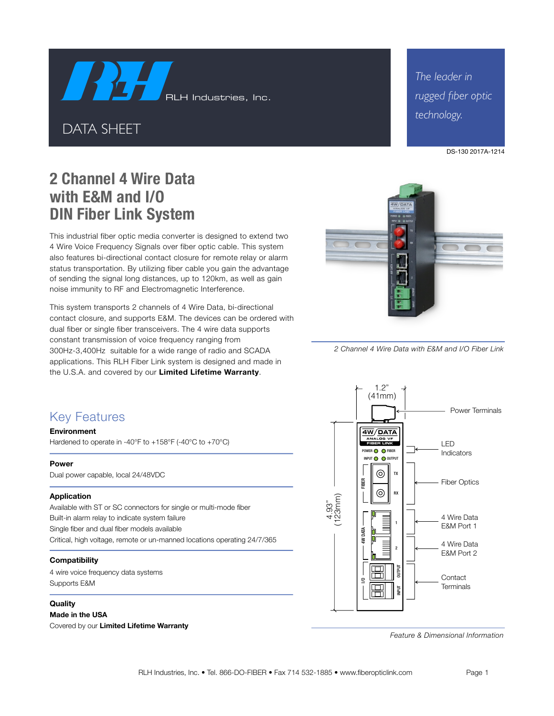RLH Industries, Inc.

DATA SHEET

*The leader in rugged fiber optic technology.*



# **2 Channel 4 Wire Data with E&M and I/O DIN Fiber Link System**

This industrial fiber optic media converter is designed to extend two 4 Wire Voice Frequency Signals over fiber optic cable. This system also features bi-directional contact closure for remote relay or alarm status transportation. By utilizing fiber cable you gain the advantage of sending the signal long distances, up to 120km, as well as gain noise immunity to RF and Electromagnetic Interference.

This system transports 2 channels of 4 Wire Data, bi-directional contact closure, and supports E&M. The devices can be ordered with dual fiber or single fiber transceivers. The 4 wire data supports constant transmission of voice frequency ranging from 300Hz-3,400Hz suitable for a wide range of radio and SCADA applications. This RLH Fiber Link system is designed and made in the U.S.A. and covered by our **Limited Lifetime Warranty**.



*<sup>2</sup> Channel 4 Wire Data with E&M and I/O Fiber Link*

### Key Features

#### **Environment**

Hardened to operate in -40°F to +158°F (-40°C to +70°C)

#### **Power**

Dual power capable, local 24/48VDC

#### **Application**

Available with ST or SC connectors for single or multi-mode fiber Built-in alarm relay to indicate system failure Single fiber and dual fiber models available Critical, high voltage, remote or un-manned locations operating 24/7/365

#### **Compatibility**

4 wire voice frequency data systems Supports E&M

#### **Quality**

**Made in the USA** Covered by our **Limited Lifetime Warranty**



*Feature & Dimensional Information*